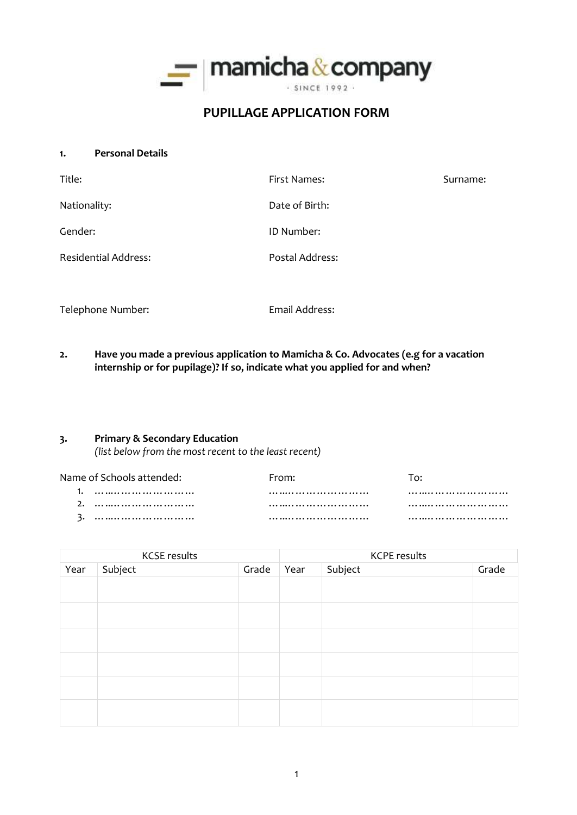

# **PUPILLAGE APPLICATION FORM**

**1. Personal Details**

| Title:                      | First Names:    | Surname: |
|-----------------------------|-----------------|----------|
| Nationality:                | Date of Birth:  |          |
| Gender:                     | ID Number:      |          |
| <b>Residential Address:</b> | Postal Address: |          |

Telephone Number: Telephone Number:

**2. Have you made a previous application to Mamicha & Co. Advocates (e.g for a vacation internship or for pupilage)? If so, indicate what you applied for and when?**

### **3. Primary & Secondary Education**

*(list below from the most recent to the least recent)*

| Name of Schools attended: | From: |  |
|---------------------------|-------|--|
|                           |       |  |
|                           |       |  |
|                           |       |  |

| <b>KCSE results</b> |         | <b>KCPE results</b> |      |         |       |
|---------------------|---------|---------------------|------|---------|-------|
| Year                | Subject | Grade               | Year | Subject | Grade |
|                     |         |                     |      |         |       |
|                     |         |                     |      |         |       |
|                     |         |                     |      |         |       |
|                     |         |                     |      |         |       |
|                     |         |                     |      |         |       |
|                     |         |                     |      |         |       |
|                     |         |                     |      |         |       |
|                     |         |                     |      |         |       |
|                     |         |                     |      |         |       |
|                     |         |                     |      |         |       |
|                     |         |                     |      |         |       |
|                     |         |                     |      |         |       |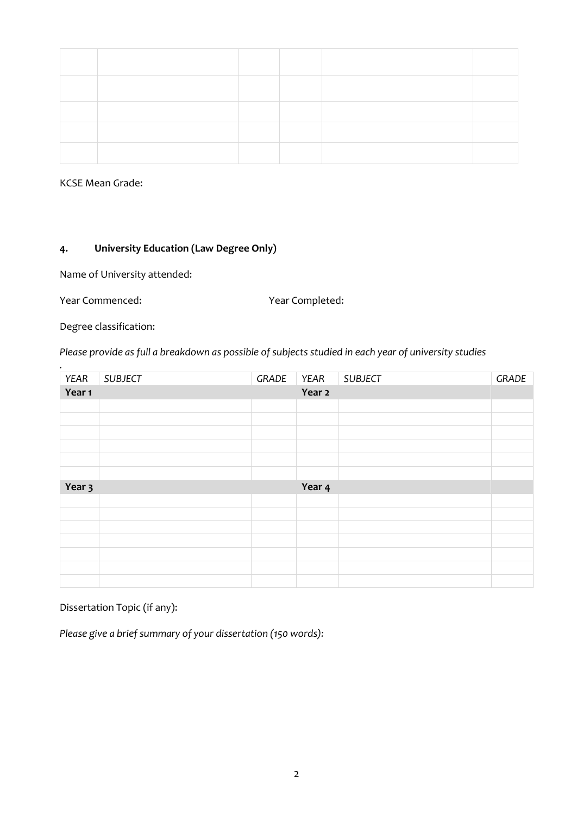KCSE Mean Grade:

### **4. University Education (Law Degree Only)**

Name of University attended:

Year Commenced: Year Completed:

*.*

Degree classification:

*Please provide as full a breakdown as possible of subjects studied in each year of university studies*

| YEAR   | <b>SUBJECT</b> | GRADE | YEAR   | <b>SUBJECT</b> | GRADE |
|--------|----------------|-------|--------|----------------|-------|
| Year 1 |                |       | Year 2 |                |       |
|        |                |       |        |                |       |
|        |                |       |        |                |       |
|        |                |       |        |                |       |
|        |                |       |        |                |       |
|        |                |       |        |                |       |
|        |                |       |        |                |       |
|        |                |       |        |                |       |
| Year 3 |                |       | Year 4 |                |       |
|        |                |       |        |                |       |
|        |                |       |        |                |       |
|        |                |       |        |                |       |
|        |                |       |        |                |       |
|        |                |       |        |                |       |
|        |                |       |        |                |       |

### Dissertation Topic (if any):

*Please give a brief summary of your dissertation (150 words):*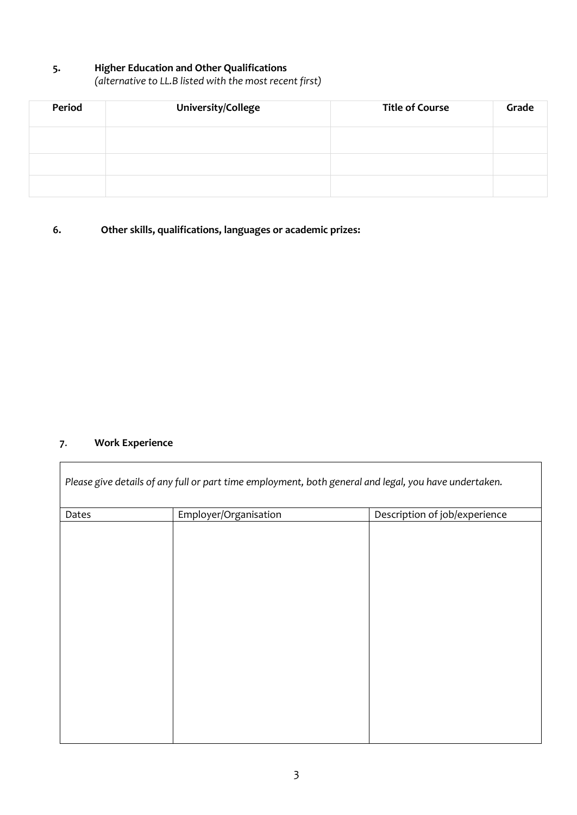## **5. Higher Education and Other Qualifications**

*(alternative to LL.B listed with the most recent first)*

| Period | University/College | <b>Title of Course</b> | Grade |
|--------|--------------------|------------------------|-------|
|        |                    |                        |       |
|        |                    |                        |       |
|        |                    |                        |       |

## **6. Other skills, qualifications, languages or academic prizes:**

## **7**. **Work Experience**

 $\overline{\Gamma}$ 

| Dates | Employer/Organisation | Description of job/experience |  |  |
|-------|-----------------------|-------------------------------|--|--|
|       |                       |                               |  |  |
|       |                       |                               |  |  |
|       |                       |                               |  |  |
|       |                       |                               |  |  |
|       |                       |                               |  |  |
|       |                       |                               |  |  |
|       |                       |                               |  |  |
|       |                       |                               |  |  |
|       |                       |                               |  |  |
|       |                       |                               |  |  |
|       |                       |                               |  |  |
|       |                       |                               |  |  |
|       |                       |                               |  |  |
|       |                       |                               |  |  |
|       |                       |                               |  |  |
|       |                       |                               |  |  |

┓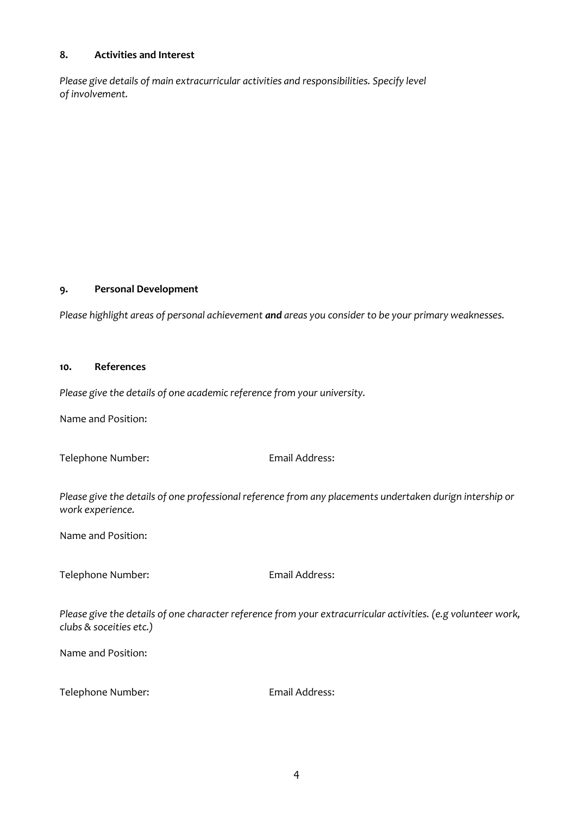### **8. Activities and Interest**

*Please give details of main extracurricular activities and responsibilities. Specify level of involvement.*

### **9. Personal Development**

*Please highlight areas of personal achievement and areas you consider to be your primary weaknesses.*

#### **10. References**

*Please give the details of one academic reference from your university.*

Name and Position:

Telephone Number: Email Address:

*Please give the details of one professional reference from any placements undertaken durign intership or work experience.*

Name and Position:

Telephone Number: Email Address:

*Please give the details of one character reference from your extracurricular activities. (e.g volunteer work, clubs & soceities etc.)*

Name and Position:

Telephone Number: Email Address: